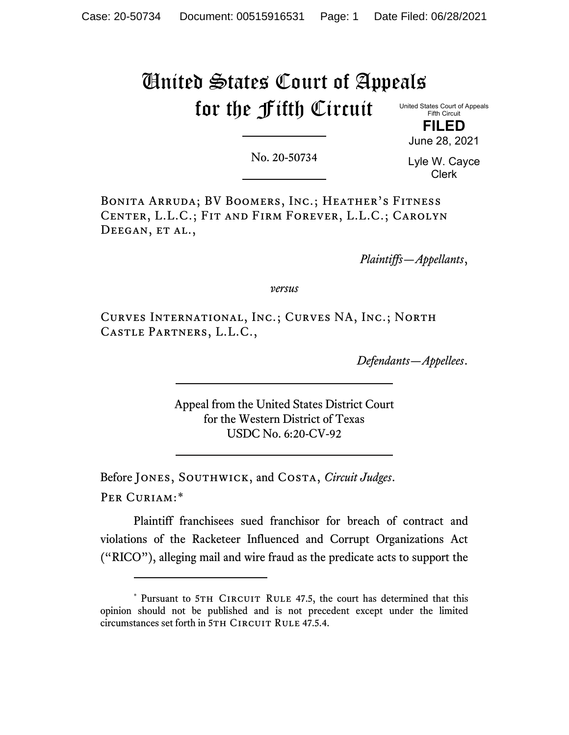# United States Court of Appeals for the Fifth Circuit

United States Court of Appeals Fifth Circuit

**FILED** June 28, 2021

No. 20-50734

Lyle W. Cayce Clerk

Bonita Arruda; BV Boomers, Inc.; Heather's Fitness Center, L.L.C.; Fit and Firm Forever, L.L.C.; Carolyn DEEGAN, ET AL.,

*Plaintiffs—Appellants*,

*versus*

Curves International, Inc.; Curves NA, Inc.; North Castle Partners, L.L.C.,

*Defendants—Appellees*.

Appeal from the United States District Court for the Western District of Texas USDC No. 6:20-CV-92

Before Jones, Southwick, and Costa, *Circuit Judges*. Per Curiam:[\\*](#page-0-0)

Plaintiff franchisees sued franchisor for breach of contract and violations of the Racketeer Influenced and Corrupt Organizations Act ("RICO"), alleging mail and wire fraud as the predicate acts to support the

<span id="page-0-0"></span><sup>\*</sup> Pursuant to 5TH CIRCUIT RULE 47.5, the court has determined that this opinion should not be published and is not precedent except under the limited circumstances set forth in 5TH CIRCUIT RULE 47.5.4.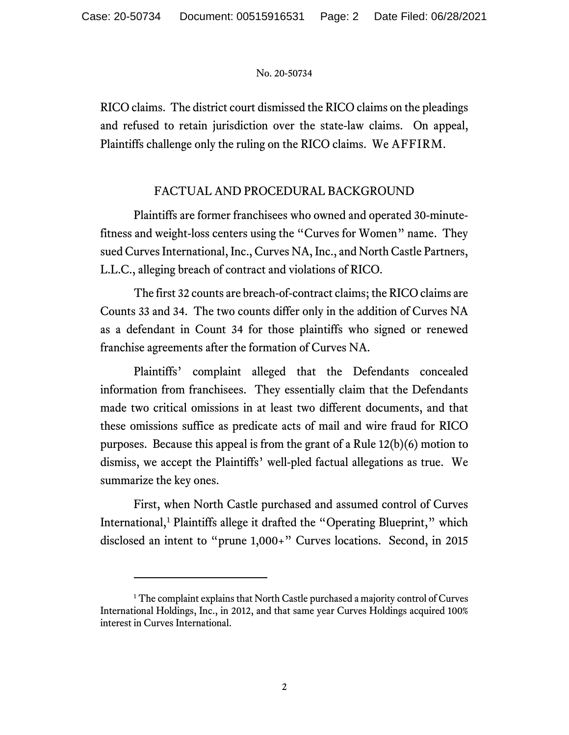RICO claims. The district court dismissed the RICO claims on the pleadings and refused to retain jurisdiction over the state-law claims. On appeal, Plaintiffs challenge only the ruling on the RICO claims. We AFFIRM.

# FACTUAL AND PROCEDURAL BACKGROUND

Plaintiffs are former franchisees who owned and operated 30-minutefitness and weight-loss centers using the "Curves for Women" name. They sued Curves International, Inc., Curves NA, Inc., and North Castle Partners, L.L.C., alleging breach of contract and violations of RICO.

The first 32 counts are breach-of-contract claims; the RICO claims are Counts 33 and 34. The two counts differ only in the addition of Curves NA as a defendant in Count 34 for those plaintiffs who signed or renewed franchise agreements after the formation of Curves NA.

Plaintiffs' complaint alleged that the Defendants concealed information from franchisees. They essentially claim that the Defendants made two critical omissions in at least two different documents, and that these omissions suffice as predicate acts of mail and wire fraud for RICO purposes. Because this appeal is from the grant of a Rule 12(b)(6) motion to dismiss, we accept the Plaintiffs' well-pled factual allegations as true. We summarize the key ones.

First, when North Castle purchased and assumed control of Curves International,<sup>[1](#page-1-0)</sup> Plaintiffs allege it drafted the "Operating Blueprint," which disclosed an intent to "prune 1,000+" Curves locations. Second, in 2015

<span id="page-1-0"></span><sup>&</sup>lt;sup>1</sup> The complaint explains that North Castle purchased a majority control of Curves International Holdings, Inc., in 2012, and that same year Curves Holdings acquired 100% interest in Curves International.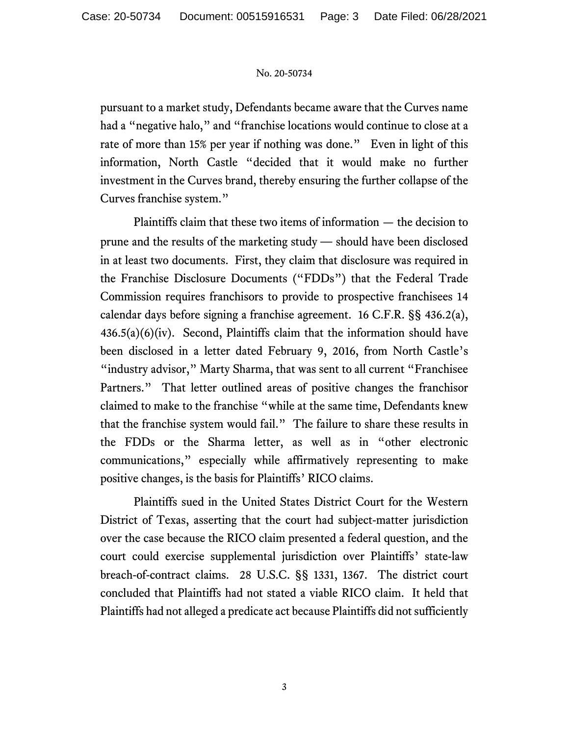pursuant to a market study, Defendants became aware that the Curves name had a "negative halo," and "franchise locations would continue to close at a rate of more than 15% per year if nothing was done." Even in light of this information, North Castle "decided that it would make no further investment in the Curves brand, thereby ensuring the further collapse of the Curves franchise system."

Plaintiffs claim that these two items of information — the decision to prune and the results of the marketing study — should have been disclosed in at least two documents. First, they claim that disclosure was required in the Franchise Disclosure Documents ("FDDs") that the Federal Trade Commission requires franchisors to provide to prospective franchisees 14 calendar days before signing a franchise agreement. 16 C.F.R. §§ 436.2(a),  $436.5(a)(6)(iv)$ . Second, Plaintiffs claim that the information should have been disclosed in a letter dated February 9, 2016, from North Castle's "industry advisor," Marty Sharma, that was sent to all current "Franchisee" Partners." That letter outlined areas of positive changes the franchisor claimed to make to the franchise "while at the same time, Defendants knew that the franchise system would fail." The failure to share these results in the FDDs or the Sharma letter, as well as in "other electronic communications," especially while affirmatively representing to make positive changes, is the basis for Plaintiffs' RICO claims.

Plaintiffs sued in the United States District Court for the Western District of Texas, asserting that the court had subject-matter jurisdiction over the case because the RICO claim presented a federal question, and the court could exercise supplemental jurisdiction over Plaintiffs' state-law breach-of-contract claims. 28 U.S.C. §§ 1331, 1367. The district court concluded that Plaintiffs had not stated a viable RICO claim. It held that Plaintiffs had not alleged a predicate act because Plaintiffs did not sufficiently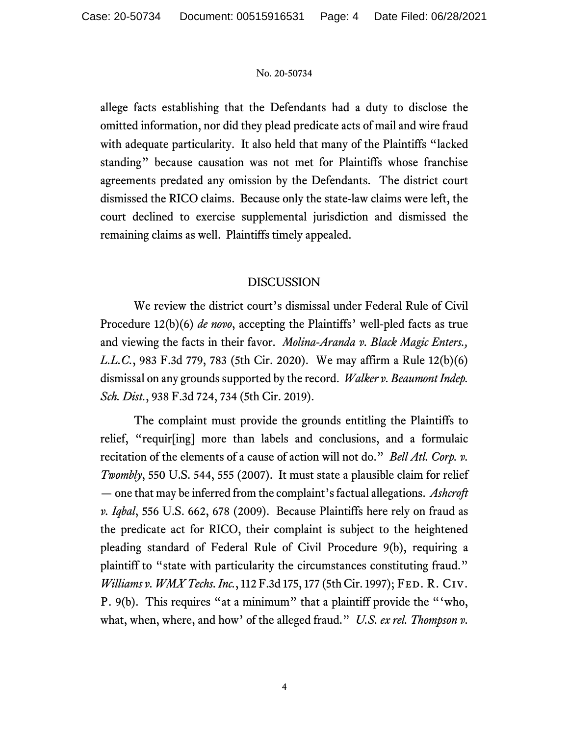allege facts establishing that the Defendants had a duty to disclose the omitted information, nor did they plead predicate acts of mail and wire fraud with adequate particularity. It also held that many of the Plaintiffs "lacked standing" because causation was not met for Plaintiffs whose franchise agreements predated any omission by the Defendants. The district court dismissed the RICO claims. Because only the state-law claims were left, the court declined to exercise supplemental jurisdiction and dismissed the remaining claims as well. Plaintiffs timely appealed.

# DISCUSSION

We review the district court's dismissal under Federal Rule of Civil Procedure 12(b)(6) *de novo*, accepting the Plaintiffs' well-pled facts as true and viewing the facts in their favor. *Molina-Aranda v. Black Magic Enters., L.L.C.*, 983 F.3d 779, 783 (5th Cir. 2020). We may affirm a Rule 12(b)(6) dismissal on any grounds supported by the record. *Walker v. Beaumont Indep. Sch. Dist.*, 938 F.3d 724, 734 (5th Cir. 2019).

The complaint must provide the grounds entitling the Plaintiffs to relief, "requir[ing] more than labels and conclusions, and a formulaic recitation of the elements of a cause of action will not do." *Bell Atl. Corp. v. Twombly*, 550 U.S. 544, 555 (2007). It must state a plausible claim for relief — one that may be inferred from the complaint's factual allegations. *Ashcroft v. Iqbal*, 556 U.S. 662, 678 (2009). Because Plaintiffs here rely on fraud as the predicate act for RICO, their complaint is subject to the heightened pleading standard of Federal Rule of Civil Procedure 9(b), requiring a plaintiff to "state with particularity the circumstances constituting fraud." *Williams v. WMX Techs. Inc.*, 112 F.3d 175, 177 (5th Cir. 1997); FED. R. CIV. P. 9(b). This requires "at a minimum" that a plaintiff provide the "'who, what, when, where, and how' of the alleged fraud." *U.S. ex rel. Thompson v.*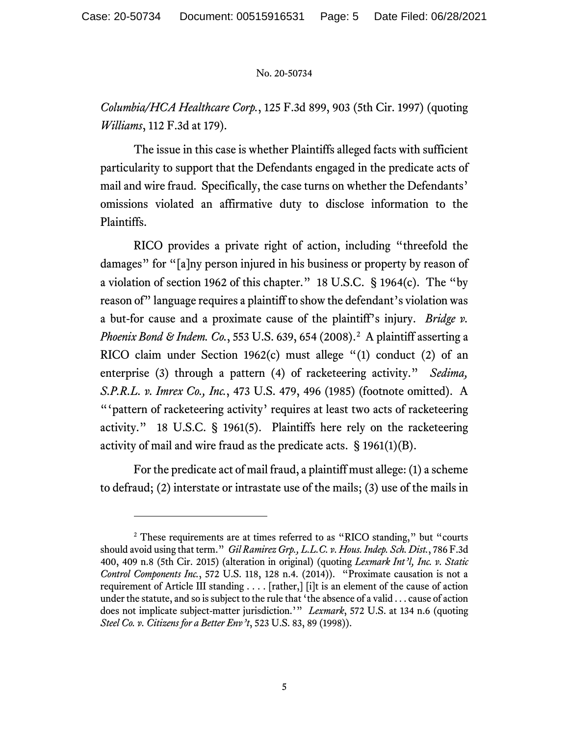*Columbia/HCA Healthcare Corp.*, 125 F.3d 899, 903 (5th Cir. 1997) (quoting *Williams*, 112 F.3d at 179).

The issue in this case is whether Plaintiffs alleged facts with sufficient particularity to support that the Defendants engaged in the predicate acts of mail and wire fraud. Specifically, the case turns on whether the Defendants' omissions violated an affirmative duty to disclose information to the Plaintiffs.

RICO provides a private right of action, including "threefold the damages" for "[a]ny person injured in his business or property by reason of a violation of section 1962 of this chapter." 18 U.S.C. § 1964(c). The "by reason of" language requires a plaintiff to show the defendant's violation was a but-for cause and a proximate cause of the plaintiff's injury. *Bridge v. Phoenix Bond & Indem. Co.*, 553 U.S. 639, 654 (2008).<sup>2</sup> A plaintiff asserting a RICO claim under Section 1962(c) must allege "(1) conduct (2) of an enterprise (3) through a pattern (4) of racketeering activity." *Sedima, S.P.R.L. v. Imrex Co., Inc.*, 473 U.S. 479, 496 (1985) (footnote omitted). A "'pattern of racketeering activity' requires at least two acts of racketeering activity." 18 U.S.C. § 1961(5). Plaintiffs here rely on the racketeering activity of mail and wire fraud as the predicate acts. § 1961(1)(B).

For the predicate act of mail fraud, a plaintiff must allege: (1) a scheme to defraud; (2) interstate or intrastate use of the mails; (3) use of the mails in

<span id="page-4-0"></span><sup>&</sup>lt;sup>2</sup> These requirements are at times referred to as "RICO standing," but "courts" should avoid using that term." *Gil Ramirez Grp., L.L.C. v. Hous. Indep. Sch. Dist.*, 786 F.3d 400, 409 n.8 (5th Cir. 2015) (alteration in original) (quoting *Lexmark Int'l, Inc. v. Static Control Components Inc.*, 572 U.S. 118, 128 n.4. (2014)). "Proximate causation is not a requirement of Article III standing . . . . [rather,] [i]t is an element of the cause of action under the statute, and so is subject to the rule that 'the absence of a valid . . . cause of action does not implicate subject-matter jurisdiction.'" *Lexmark*, 572 U.S. at 134 n.6 (quoting *Steel Co. v. Citizens for a Better Env't*, 523 U.S. 83, 89 (1998)).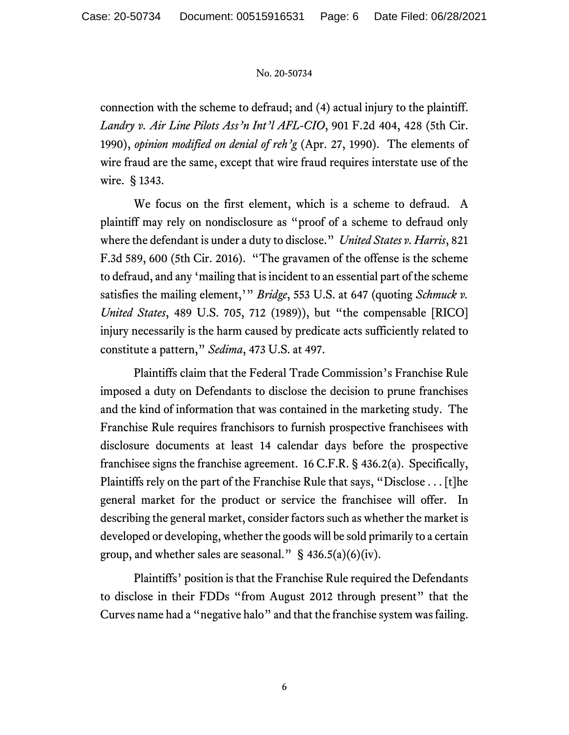connection with the scheme to defraud; and (4) actual injury to the plaintiff. *Landry v. Air Line Pilots Ass'n Int'l AFL-CIO*, 901 F.2d 404, 428 (5th Cir. 1990), *opinion modified on denial of reh'g* (Apr. 27, 1990). The elements of wire fraud are the same, except that wire fraud requires interstate use of the wire. § 1343.

We focus on the first element, which is a scheme to defraud. A plaintiff may rely on nondisclosure as "proof of a scheme to defraud only where the defendant is under a duty to disclose." *United States v. Harris*, 821 F.3d 589, 600 (5th Cir. 2016). "The gravamen of the offense is the scheme to defraud, and any 'mailing that is incident to an essential part of the scheme satisfies the mailing element,'" *Bridge*, 553 U.S. at 647 (quoting *Schmuck v. United States*, 489 U.S. 705, 712 (1989)), but "the compensable [RICO] injury necessarily is the harm caused by predicate acts sufficiently related to constitute a pattern," *Sedima*, 473 U.S. at 497.

Plaintiffs claim that the Federal Trade Commission's Franchise Rule imposed a duty on Defendants to disclose the decision to prune franchises and the kind of information that was contained in the marketing study. The Franchise Rule requires franchisors to furnish prospective franchisees with disclosure documents at least 14 calendar days before the prospective franchisee signs the franchise agreement. 16 C.F.R. § 436.2(a). Specifically, Plaintiffs rely on the part of the Franchise Rule that says, "Disclose . . . [t]he general market for the product or service the franchisee will offer. In describing the general market, consider factors such as whether the market is developed or developing, whether the goods will be sold primarily to a certain group, and whether sales are seasonal."  $\S$  436.5(a)(6)(iv).

Plaintiffs' position is that the Franchise Rule required the Defendants to disclose in their FDDs "from August 2012 through present" that the Curves name had a "negative halo" and that the franchise system was failing.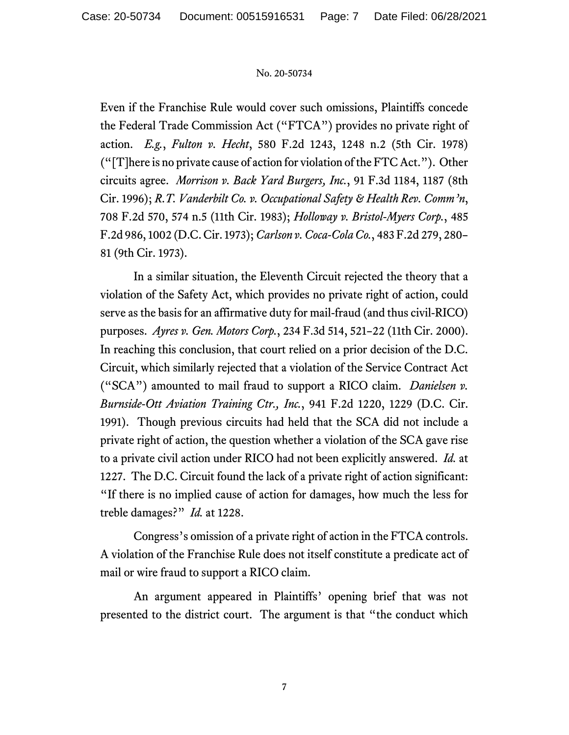Even if the Franchise Rule would cover such omissions, Plaintiffs concede the Federal Trade Commission Act ("FTCA") provides no private right of action. *E.g.*, *Fulton v. Hecht*, 580 F.2d 1243, 1248 n.2 (5th Cir. 1978) ("[T]here is no private cause of action for violation of the FTC Act."). Other circuits agree. *Morrison v. Back Yard Burgers, Inc.*, 91 F.3d 1184, 1187 (8th Cir. 1996); *R.T. Vanderbilt Co. v. Occupational Safety & Health Rev. Comm'n*, 708 F.2d 570, 574 n.5 (11th Cir. 1983); *Holloway v. Bristol-Myers Corp.*, 485 F.2d 986, 1002 (D.C. Cir. 1973); *Carlson v. Coca-Cola Co.*, 483 F.2d 279, 280– 81 (9th Cir. 1973).

In a similar situation, the Eleventh Circuit rejected the theory that a violation of the Safety Act, which provides no private right of action, could serve as the basis for an affirmative duty for mail-fraud (and thus civil-RICO) purposes. *Ayres v. Gen. Motors Corp.*, 234 F.3d 514, 521–22 (11th Cir. 2000). In reaching this conclusion, that court relied on a prior decision of the D.C. Circuit, which similarly rejected that a violation of the Service Contract Act ("SCA") amounted to mail fraud to support a RICO claim. *Danielsen v. Burnside-Ott Aviation Training Ctr., Inc.*, 941 F.2d 1220, 1229 (D.C. Cir. 1991). Though previous circuits had held that the SCA did not include a private right of action, the question whether a violation of the SCA gave rise to a private civil action under RICO had not been explicitly answered. *Id.* at 1227. The D.C. Circuit found the lack of a private right of action significant: "If there is no implied cause of action for damages, how much the less for treble damages?" *Id.* at 1228.

Congress's omission of a private right of action in the FTCA controls. A violation of the Franchise Rule does not itself constitute a predicate act of mail or wire fraud to support a RICO claim.

An argument appeared in Plaintiffs' opening brief that was not presented to the district court. The argument is that "the conduct which